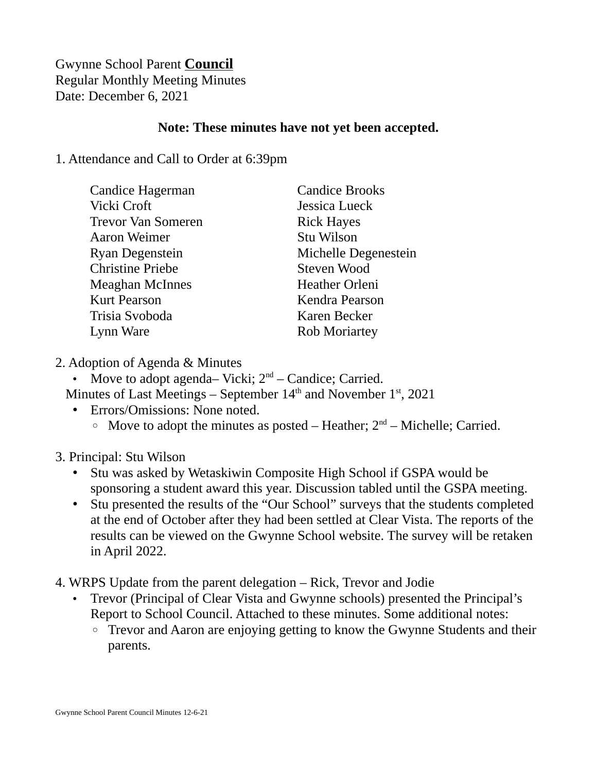## Gwynne School Parent **Council** Regular Monthly Meeting Minutes Date: December 6, 2021

## **Note: These minutes have not yet been accepted.**

## 1. Attendance and Call to Order at 6:39pm

| Candice Hagerman          | <b>Candice Brooks</b> |
|---------------------------|-----------------------|
| Vicki Croft               | Jessica Lueck         |
| <b>Trevor Van Someren</b> | <b>Rick Hayes</b>     |
| <b>Aaron Weimer</b>       | Stu Wilson            |
| Ryan Degenstein           | Michelle Degenestein  |
| <b>Christine Priebe</b>   | Steven Wood           |
| <b>Meaghan McInnes</b>    | <b>Heather Orleni</b> |
| <b>Kurt Pearson</b>       | Kendra Pearson        |
| Trisia Svoboda            | Karen Becker          |
| Lynn Ware                 | <b>Rob Moriartey</b>  |
|                           |                       |

- 2. Adoption of Agenda & Minutes
	- Move to adopt agenda– Vicki;  $2<sup>nd</sup>$  Candice; Carried. Minutes of Last Meetings – September  $14<sup>th</sup>$  and November  $1<sup>st</sup>$ , 2021
		- Errors/Omissions: None noted.
			- $\degree$  Move to adopt the minutes as posted Heather;  $2<sup>nd</sup>$  Michelle; Carried.
- 3. Principal: Stu Wilson
	- Stu was asked by Wetaskiwin Composite High School if GSPA would be sponsoring a student award this year. Discussion tabled until the GSPA meeting.
	- Stu presented the results of the "Our School" surveys that the students completed at the end of October after they had been settled at Clear Vista. The reports of the results can be viewed on the Gwynne School website. The survey will be retaken in April 2022.
- 4. WRPS Update from the parent delegation Rick, Trevor and Jodie
	- Trevor (Principal of Clear Vista and Gwynne schools) presented the Principal's Report to School Council. Attached to these minutes. Some additional notes:
		- Trevor and Aaron are enjoying getting to know the Gwynne Students and their parents.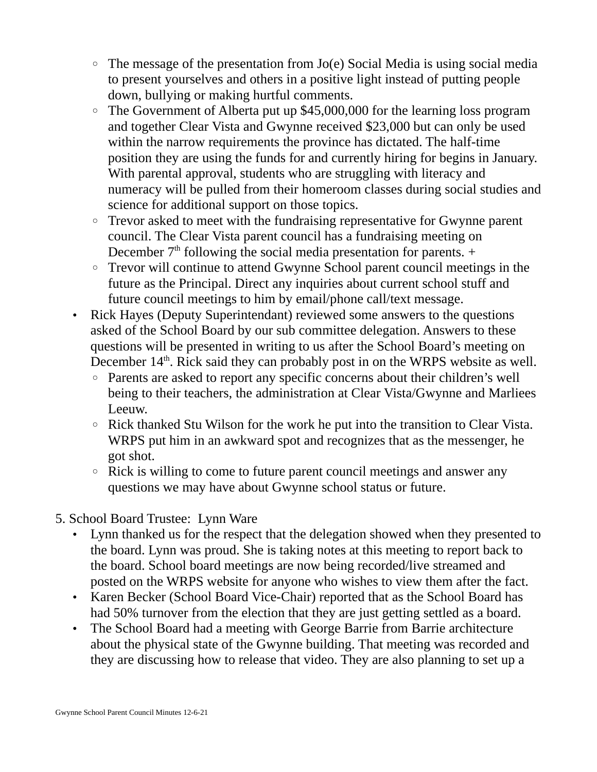- $\circ$  The message of the presentation from Jo(e) Social Media is using social media to present yourselves and others in a positive light instead of putting people down, bullying or making hurtful comments.
- The Government of Alberta put up \$45,000,000 for the learning loss program and together Clear Vista and Gwynne received \$23,000 but can only be used within the narrow requirements the province has dictated. The half-time position they are using the funds for and currently hiring for begins in January. With parental approval, students who are struggling with literacy and numeracy will be pulled from their homeroom classes during social studies and science for additional support on those topics.
- Trevor asked to meet with the fundraising representative for Gwynne parent council. The Clear Vista parent council has a fundraising meeting on December  $7<sup>th</sup>$  following the social media presentation for parents.  $+$
- Trevor will continue to attend Gwynne School parent council meetings in the future as the Principal. Direct any inquiries about current school stuff and future council meetings to him by email/phone call/text message.
- Rick Hayes (Deputy Superintendant) reviewed some answers to the questions asked of the School Board by our sub committee delegation. Answers to these questions will be presented in writing to us after the School Board's meeting on December  $14<sup>th</sup>$ . Rick said they can probably post in on the WRPS website as well.
	- Parents are asked to report any specific concerns about their children's well being to their teachers, the administration at Clear Vista/Gwynne and Marliees Leeuw.
	- Rick thanked Stu Wilson for the work he put into the transition to Clear Vista. WRPS put him in an awkward spot and recognizes that as the messenger, he got shot.
	- Rick is willing to come to future parent council meetings and answer any questions we may have about Gwynne school status or future.
- 5. School Board Trustee: Lynn Ware
	- Lynn thanked us for the respect that the delegation showed when they presented to the board. Lynn was proud. She is taking notes at this meeting to report back to the board. School board meetings are now being recorded/live streamed and posted on the WRPS website for anyone who wishes to view them after the fact.
	- Karen Becker (School Board Vice-Chair) reported that as the School Board has had 50% turnover from the election that they are just getting settled as a board.
	- The School Board had a meeting with George Barrie from Barrie architecture about the physical state of the Gwynne building. That meeting was recorded and they are discussing how to release that video. They are also planning to set up a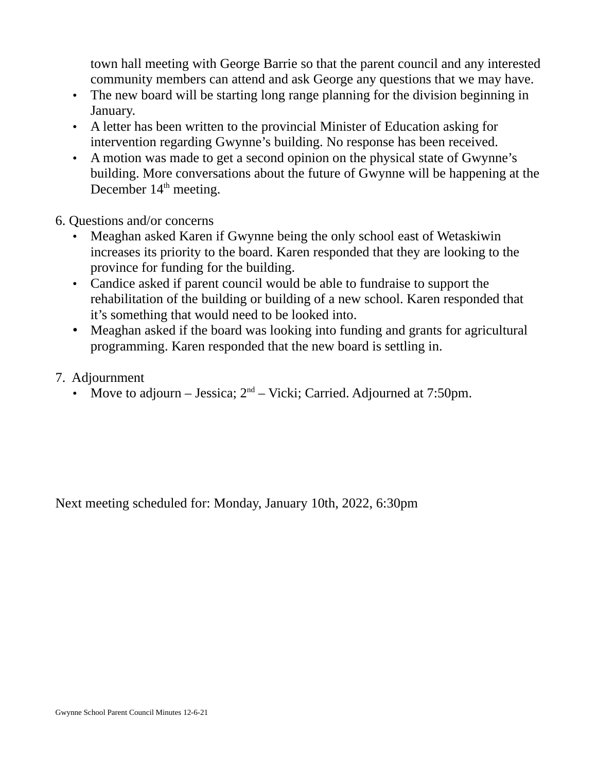town hall meeting with George Barrie so that the parent council and any interested community members can attend and ask George any questions that we may have.

- The new board will be starting long range planning for the division beginning in January.
- A letter has been written to the provincial Minister of Education asking for intervention regarding Gwynne's building. No response has been received.
- A motion was made to get a second opinion on the physical state of Gwynne's building. More conversations about the future of Gwynne will be happening at the December  $14<sup>th</sup>$  meeting.
- 6. Questions and/or concerns
	- Meaghan asked Karen if Gwynne being the only school east of Wetaskiwin increases its priority to the board. Karen responded that they are looking to the province for funding for the building.
	- Candice asked if parent council would be able to fundraise to support the rehabilitation of the building or building of a new school. Karen responded that it's something that would need to be looked into.
	- Meaghan asked if the board was looking into funding and grants for agricultural programming. Karen responded that the new board is settling in.
- 7. Adjournment
	- Move to adjourn Jessica;  $2<sup>nd</sup>$  Vicki; Carried. Adjourned at 7:50pm.

Next meeting scheduled for: Monday, January 10th, 2022, 6:30pm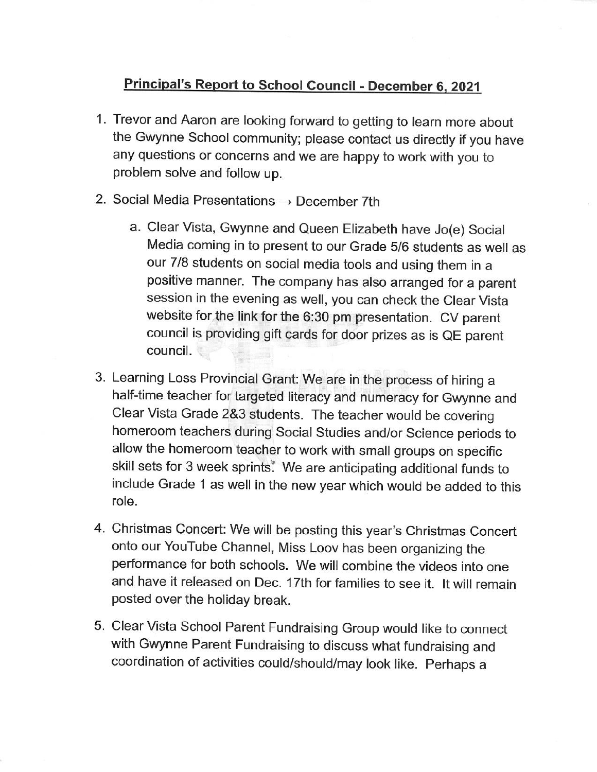## Principal's Report to School Council - December 6, 2021

- 1. Trevor and Aaron are looking forward to getting to learn more about the Gwynne School community; please contact us directly if you have any questions or concerns and we are happy to work with you to problem solve and follow up.
- 2. Social Media Presentations  $\rightarrow$  December 7th
	- a. Clear Vista, Gwynne and Queen Elizabeth have Jo(e) Social Media coming in to present to our Grade 5/6 students as well as our 7/8 students on social media tools and using them in a positive manner. The company has also arranged for a parent session in the evening as well, you can check the Clear Vista website for the link for the 6:30 pm presentation. CV parent council is providing gift cards for door prizes as is QE parent council.
- 3. Learning Loss Provincial Grant: We are in the process of hiring a half-time teacher for targeted literacy and numeracy for Gwynne and Clear Vista Grade 2&3 students. The teacher would be covering homeroom teachers during Social Studies and/or Science periods to allow the homeroom teacher to work with small groups on specific skill sets for 3 week sprints. We are anticipating additional funds to include Grade 1 as well in the new year which would be added to this role.
- 4. Christmas Concert: We will be posting this year's Christmas Concert onto our YouTube Channel, Miss Loov has been organizing the performance for both schools. We will combine the videos into one and have it released on Dec. 17th for families to see it. It will remain posted over the holiday break.
- 5. Clear Vista School Parent Fundraising Group would like to connect with Gwynne Parent Fundraising to discuss what fundraising and coordination of activities could/should/may look like. Perhaps a